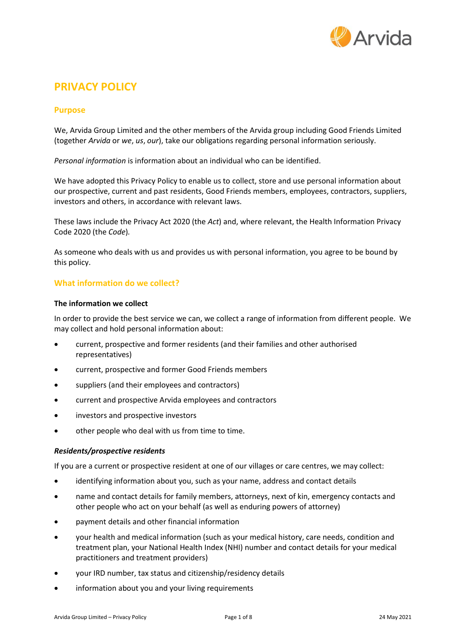

# **PRIVACY POLICY**

# **Purpose**

We, Arvida Group Limited and the other members of the Arvida group including Good Friends Limited (together *Arvida* or *we*, *us*, *our*), take our obligations regarding personal information seriously.

*Personal information* is information about an individual who can be identified.

We have adopted this Privacy Policy to enable us to collect, store and use personal information about our prospective, current and past residents, Good Friends members, employees, contractors, suppliers, investors and others, in accordance with relevant laws.

These laws include the Privacy Act 2020 (the *Act*) and, where relevant, the Health Information Privacy Code 2020 (the *Code*)*.*

As someone who deals with us and provides us with personal information, you agree to be bound by this policy.

# **What information do we collect?**

## **The information we collect**

In order to provide the best service we can, we collect a range of information from different people. We may collect and hold personal information about:

- current, prospective and former residents (and their families and other authorised representatives)
- current, prospective and former Good Friends members
- suppliers (and their employees and contractors)
- current and prospective Arvida employees and contractors
- investors and prospective investors
- other people who deal with us from time to time.

## *Residents/prospective residents*

If you are a current or prospective resident at one of our villages or care centres, we may collect:

- identifying information about you, such as your name, address and contact details
- name and contact details for family members, attorneys, next of kin, emergency contacts and other people who act on your behalf (as well as enduring powers of attorney)
- payment details and other financial information
- your health and medical information (such as your medical history, care needs, condition and treatment plan, your National Health Index (NHI) number and contact details for your medical practitioners and treatment providers)
- your IRD number, tax status and citizenship/residency details
- information about you and your living requirements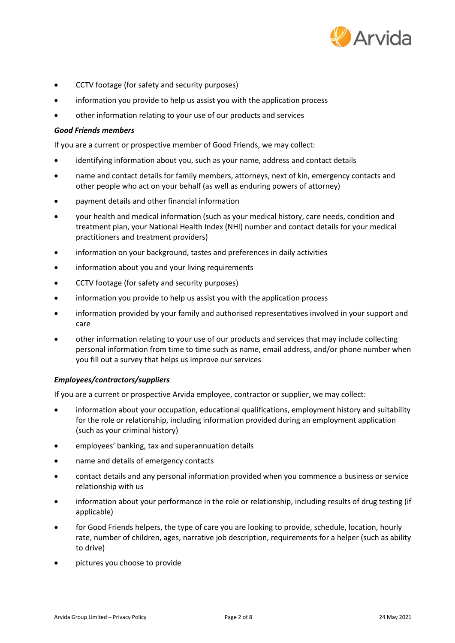

- CCTV footage (for safety and security purposes)
- information you provide to help us assist you with the application process
- other information relating to your use of our products and services

## *Good Friends members*

If you are a current or prospective member of Good Friends, we may collect:

- identifying information about you, such as your name, address and contact details
- name and contact details for family members, attorneys, next of kin, emergency contacts and other people who act on your behalf (as well as enduring powers of attorney)
- payment details and other financial information
- your health and medical information (such as your medical history, care needs, condition and treatment plan, your National Health Index (NHI) number and contact details for your medical practitioners and treatment providers)
- information on your background, tastes and preferences in daily activities
- information about you and your living requirements
- CCTV footage (for safety and security purposes)
- information you provide to help us assist you with the application process
- information provided by your family and authorised representatives involved in your support and care
- other information relating to your use of our products and services that may include collecting personal information from time to time such as name, email address, and/or phone number when you fill out a survey that helps us improve our services

## *Employees/contractors/suppliers*

If you are a current or prospective Arvida employee, contractor or supplier, we may collect:

- information about your occupation, educational qualifications, employment history and suitability for the role or relationship, including information provided during an employment application (such as your criminal history)
- employees' banking, tax and superannuation details
- name and details of emergency contacts
- contact details and any personal information provided when you commence a business or service relationship with us
- information about your performance in the role or relationship, including results of drug testing (if applicable)
- for Good Friends helpers, the type of care you are looking to provide, schedule, location, hourly rate, number of children, ages, narrative job description, requirements for a helper (such as ability to drive)
- pictures you choose to provide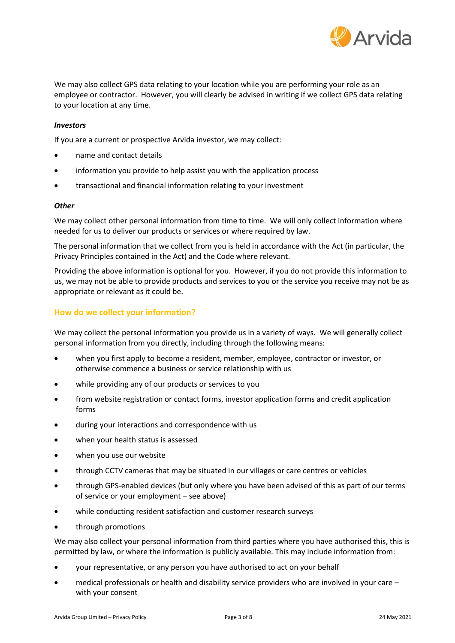

We may also collect GPS data relating to your location while you are performing your role as an employee or contractor. However, you will clearly be advised in writing if we collect GPS data relating to your location at any time.

## *Investors*

If you are a current or prospective Arvida investor, we may collect:

- name and contact details
- information you provide to help assist you with the application process
- transactional and financial information relating to your investment

#### *Other*

We may collect other personal information from time to time. We will only collect information where needed for us to deliver our products or services or where required by law.

The personal information that we collect from you is held in accordance with the Act (in particular, the Privacy Principles contained in the Act) and the Code where relevant.

Providing the above information is optional for you. However, if you do not provide this information to us, we may not be able to provide products and services to you or the service you receive may not be as appropriate or relevant as it could be.

# **How do we collect your information?**

We may collect the personal information you provide us in a variety of ways. We will generally collect personal information from you directly, including through the following means:

- when you first apply to become a resident, member, employee, contractor or investor, or otherwise commence a business or service relationship with us
- while providing any of our products or services to you
- from website registration or contact forms, investor application forms and credit application forms
- during your interactions and correspondence with us
- when your health status is assessed
- when you use our website
- through CCTV cameras that may be situated in our villages or care centres or vehicles
- through GPS-enabled devices (but only where you have been advised of this as part of our terms of service or your employment – see above)
- while conducting resident satisfaction and customer research surveys
- through promotions

We may also collect your personal information from third parties where you have authorised this, this is permitted by law, or where the information is publicly available. This may include information from:

- your representative, or any person you have authorised to act on your behalf
- medical professionals or health and disability service providers who are involved in your care with your consent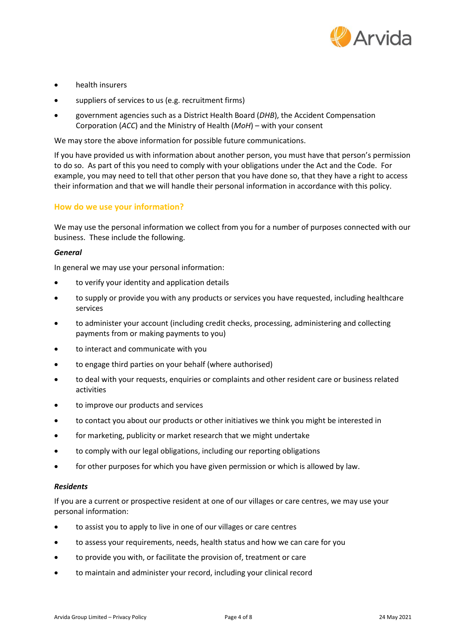

- health insurers
- suppliers of services to us (e.g. recruitment firms)
- government agencies such as a District Health Board (*DHB*), the Accident Compensation Corporation (*ACC*) and the Ministry of Health (*MoH*) – with your consent

We may store the above information for possible future communications.

If you have provided us with information about another person, you must have that person's permission to do so. As part of this you need to comply with your obligations under the Act and the Code. For example, you may need to tell that other person that you have done so, that they have a right to access their information and that we will handle their personal information in accordance with this policy.

# **How do we use your information?**

We may use the personal information we collect from you for a number of purposes connected with our business. These include the following.

## *General*

In general we may use your personal information:

- to verify your identity and application details
- to supply or provide you with any products or services you have requested, including healthcare services
- to administer your account (including credit checks, processing, administering and collecting payments from or making payments to you)
- to interact and communicate with you
- to engage third parties on your behalf (where authorised)
- to deal with your requests, enquiries or complaints and other resident care or business related activities
- to improve our products and services
- to contact you about our products or other initiatives we think you might be interested in
- for marketing, publicity or market research that we might undertake
- to comply with our legal obligations, including our reporting obligations
- for other purposes for which you have given permission or which is allowed by law.

#### *Residents*

If you are a current or prospective resident at one of our villages or care centres, we may use your personal information:

- to assist you to apply to live in one of our villages or care centres
- to assess your requirements, needs, health status and how we can care for you
- to provide you with, or facilitate the provision of, treatment or care
- to maintain and administer your record, including your clinical record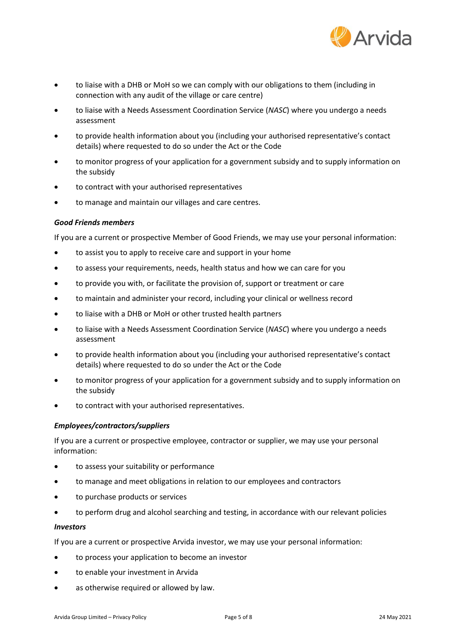

- to liaise with a DHB or MoH so we can comply with our obligations to them (including in connection with any audit of the village or care centre)
- to liaise with a Needs Assessment Coordination Service (*NASC*) where you undergo a needs assessment
- to provide health information about you (including your authorised representative's contact details) where requested to do so under the Act or the Code
- to monitor progress of your application for a government subsidy and to supply information on the subsidy
- to contract with your authorised representatives
- to manage and maintain our villages and care centres.

## *Good Friends members*

If you are a current or prospective Member of Good Friends, we may use your personal information:

- to assist you to apply to receive care and support in your home
- to assess your requirements, needs, health status and how we can care for you
- to provide you with, or facilitate the provision of, support or treatment or care
- to maintain and administer your record, including your clinical or wellness record
- to liaise with a DHB or MoH or other trusted health partners
- to liaise with a Needs Assessment Coordination Service (*NASC*) where you undergo a needs assessment
- to provide health information about you (including your authorised representative's contact details) where requested to do so under the Act or the Code
- to monitor progress of your application for a government subsidy and to supply information on the subsidy
- to contract with your authorised representatives.

## *Employees/contractors/suppliers*

If you are a current or prospective employee, contractor or supplier, we may use your personal information:

- to assess your suitability or performance
- to manage and meet obligations in relation to our employees and contractors
- to purchase products or services
- to perform drug and alcohol searching and testing, in accordance with our relevant policies

#### *Investors*

If you are a current or prospective Arvida investor, we may use your personal information:

- to process your application to become an investor
- to enable your investment in Arvida
- as otherwise required or allowed by law.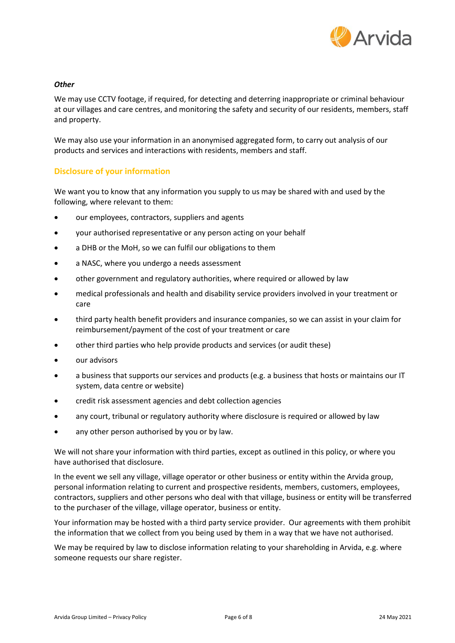

## *Other*

We may use CCTV footage, if required, for detecting and deterring inappropriate or criminal behaviour at our villages and care centres, and monitoring the safety and security of our residents, members, staff and property.

We may also use your information in an anonymised aggregated form, to carry out analysis of our products and services and interactions with residents, members and staff.

## **Disclosure of your information**

We want you to know that any information you supply to us may be shared with and used by the following, where relevant to them:

- our employees, contractors, suppliers and agents
- your authorised representative or any person acting on your behalf
- a DHB or the MoH, so we can fulfil our obligations to them
- a NASC, where you undergo a needs assessment
- other government and regulatory authorities, where required or allowed by law
- medical professionals and health and disability service providers involved in your treatment or care
- third party health benefit providers and insurance companies, so we can assist in your claim for reimbursement/payment of the cost of your treatment or care
- other third parties who help provide products and services (or audit these)
- our advisors
- a business that supports our services and products (e.g. a business that hosts or maintains our IT system, data centre or website)
- credit risk assessment agencies and debt collection agencies
- any court, tribunal or regulatory authority where disclosure is required or allowed by law
- any other person authorised by you or by law.

We will not share your information with third parties, except as outlined in this policy, or where you have authorised that disclosure.

In the event we sell any village, village operator or other business or entity within the Arvida group, personal information relating to current and prospective residents, members, customers, employees, contractors, suppliers and other persons who deal with that village, business or entity will be transferred to the purchaser of the village, village operator, business or entity.

Your information may be hosted with a third party service provider. Our agreements with them prohibit the information that we collect from you being used by them in a way that we have not authorised.

We may be required by law to disclose information relating to your shareholding in Arvida, e.g. where someone requests our share register.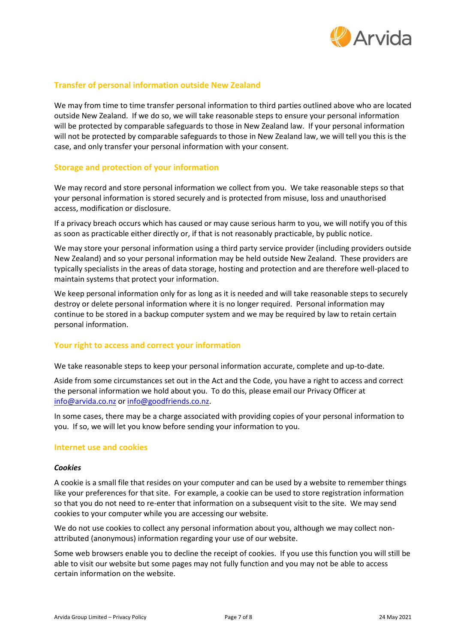

## **Transfer of personal information outside New Zealand**

We may from time to time transfer personal information to third parties outlined above who are located outside New Zealand. If we do so, we will take reasonable steps to ensure your personal information will be protected by comparable safeguards to those in New Zealand law. If your personal information will not be protected by comparable safeguards to those in New Zealand law, we will tell you this is the case, and only transfer your personal information with your consent.

## **Storage and protection of your information**

We may record and store personal information we collect from you. We take reasonable steps so that your personal information is stored securely and is protected from misuse, loss and unauthorised access, modification or disclosure.

If a privacy breach occurs which has caused or may cause serious harm to you, we will notify you of this as soon as practicable either directly or, if that is not reasonably practicable, by public notice.

We may store your personal information using a third party service provider (including providers outside New Zealand) and so your personal information may be held outside New Zealand. These providers are typically specialists in the areas of data storage, hosting and protection and are therefore well-placed to maintain systems that protect your information.

We keep personal information only for as long as it is needed and will take reasonable steps to securely destroy or delete personal information where it is no longer required. Personal information may continue to be stored in a backup computer system and we may be required by law to retain certain personal information.

#### **Your right to access and correct your information**

We take reasonable steps to keep your personal information accurate, complete and up-to-date.

Aside from some circumstances set out in the Act and the Code, you have a right to access and correct the personal information we hold about you. To do this, please email our Privacy Officer at [info@arvida.co.nz](mailto:info@arvida.co.nz) o[r info@goodfriends.co.nz.](mailto:info@goodfriends.co.nz)

In some cases, there may be a charge associated with providing copies of your personal information to you. If so, we will let you know before sending your information to you.

#### **Internet use and cookies**

#### *Cookies*

A cookie is a small file that resides on your computer and can be used by a website to remember things like your preferences for that site. For example, a cookie can be used to store registration information so that you do not need to re-enter that information on a subsequent visit to the site. We may send cookies to your computer while you are accessing our website.

We do not use cookies to collect any personal information about you, although we may collect nonattributed (anonymous) information regarding your use of our website.

Some web browsers enable you to decline the receipt of cookies. If you use this function you will still be able to visit our website but some pages may not fully function and you may not be able to access certain information on the website.